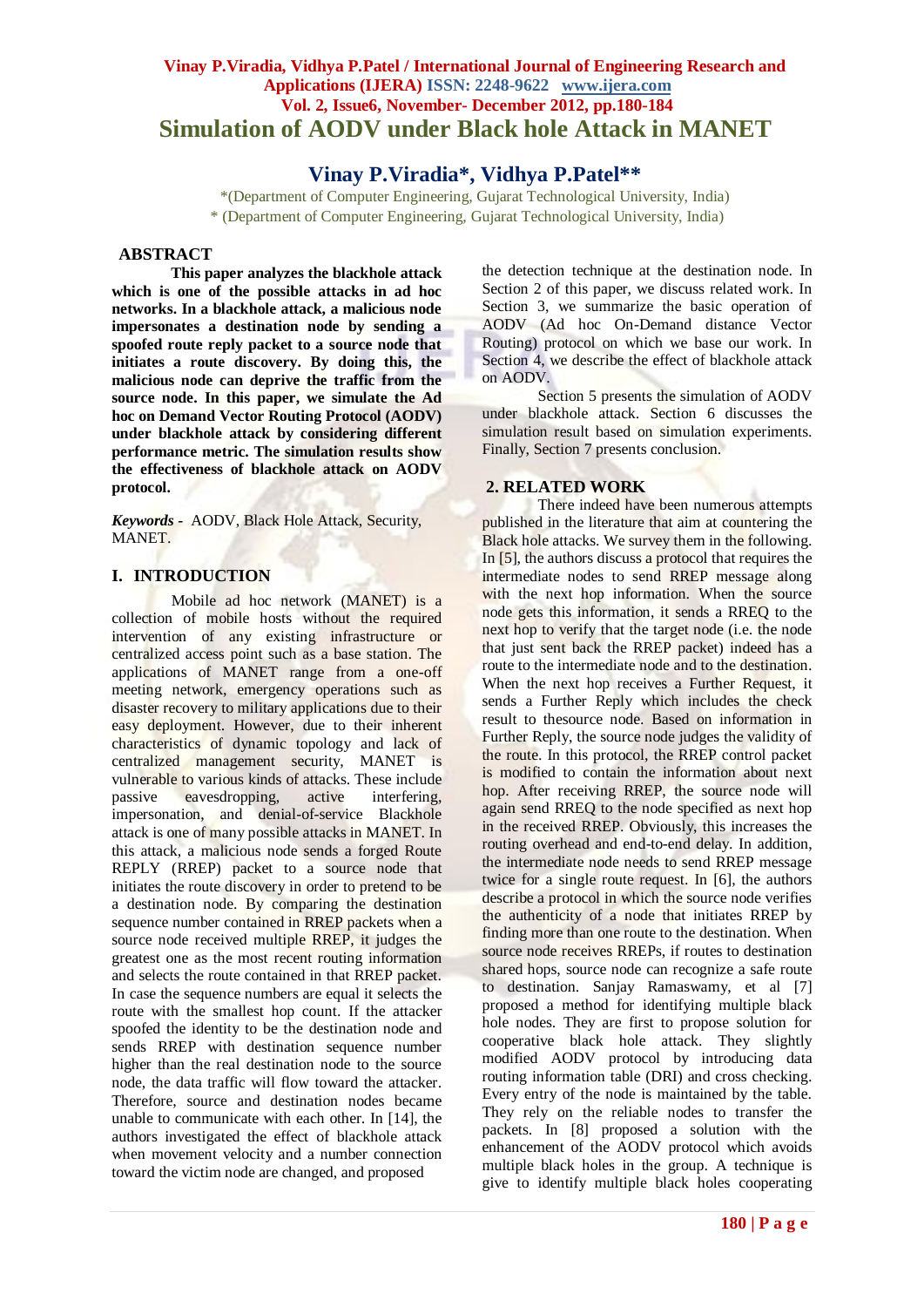# **Vinay P.Viradia, Vidhya P.Patel / International Journal of Engineering Research and Applications (IJERA) ISSN: 2248-9622 www.ijera.com Vol. 2, Issue6, November- December 2012, pp.180-184 Simulation of AODV under Black hole Attack in MANET**

# **Vinay P.Viradia\*, Vidhya P.Patel\*\***

\*(Department of Computer Engineering, Gujarat Technological University, India) \* (Department of Computer Engineering, Gujarat Technological University, India)

#### **ABSTRACT**

**This paper analyzes the blackhole attack which is one of the possible attacks in ad hoc networks. In a blackhole attack, a malicious node impersonates a destination node by sending a spoofed route reply packet to a source node that initiates a route discovery. By doing this, the malicious node can deprive the traffic from the source node. In this paper, we simulate the Ad hoc on Demand Vector Routing Protocol (AODV) under blackhole attack by considering different performance metric. The simulation results show the effectiveness of blackhole attack on AODV protocol.**

*Keywords* **-** AODV, Black Hole Attack, Security, MANET.

#### **I. INTRODUCTION**

Mobile ad hoc network (MANET) is a collection of mobile hosts without the required intervention of any existing infrastructure or centralized access point such as a base station. The applications of MANET range from a one-off meeting network, emergency operations such as disaster recovery to military applications due to their easy deployment. However, due to their inherent characteristics of dynamic topology and lack of centralized management security, MANET is vulnerable to various kinds of attacks. These include passive eavesdropping, active interfering, impersonation, and denial-of-service Blackhole attack is one of many possible attacks in MANET. In this attack, a malicious node sends a forged Route REPLY (RREP) packet to a source node that initiates the route discovery in order to pretend to be a destination node. By comparing the destination sequence number contained in RREP packets when a source node received multiple RREP, it judges the greatest one as the most recent routing information and selects the route contained in that RREP packet. In case the sequence numbers are equal it selects the route with the smallest hop count. If the attacker spoofed the identity to be the destination node and sends RREP with destination sequence number higher than the real destination node to the source node, the data traffic will flow toward the attacker. Therefore, source and destination nodes became unable to communicate with each other. In [14], the authors investigated the effect of blackhole attack when movement velocity and a number connection toward the victim node are changed, and proposed

the detection technique at the destination node. In Section 2 of this paper, we discuss related work. In Section 3, we summarize the basic operation of AODV (Ad hoc On-Demand distance Vector Routing) protocol on which we base our work. In Section 4, we describe the effect of blackhole attack on AODV.

Section 5 presents the simulation of AODV under blackhole attack. Section 6 discusses the simulation result based on simulation experiments. Finally, Section 7 presents conclusion.

#### **2. RELATED WORK**

There indeed have been numerous attempts published in the literature that aim at countering the Black hole attacks. We survey them in the following. In [5], the authors discuss a protocol that requires the intermediate nodes to send RREP message along with the next hop information. When the source node gets this information, it sends a RREQ to the next hop to verify that the target node (i.e. the node that just sent back the RREP packet) indeed has a route to the intermediate node and to the destination. When the next hop receives a Further Request, it sends a Further Reply which includes the check result to thesource node. Based on information in Further Reply, the source node judges the validity of the route. In this protocol, the RREP control packet is modified to contain the information about next hop. After receiving RREP, the source node will again send RREQ to the node specified as next hop in the received RREP. Obviously, this increases the routing overhead and end-to-end delay. In addition, the intermediate node needs to send RREP message twice for a single route request. In [6], the authors describe a protocol in which the source node verifies the authenticity of a node that initiates RREP by finding more than one route to the destination. When source node receives RREPs, if routes to destination shared hops, source node can recognize a safe route to destination. Sanjay Ramaswamy, et al [7] proposed a method for identifying multiple black hole nodes. They are first to propose solution for cooperative black hole attack. They slightly modified AODV protocol by introducing data routing information table (DRI) and cross checking. Every entry of the node is maintained by the table. They rely on the reliable nodes to transfer the packets. In [8] proposed a solution with the enhancement of the AODV protocol which avoids multiple black holes in the group. A technique is give to identify multiple black holes cooperating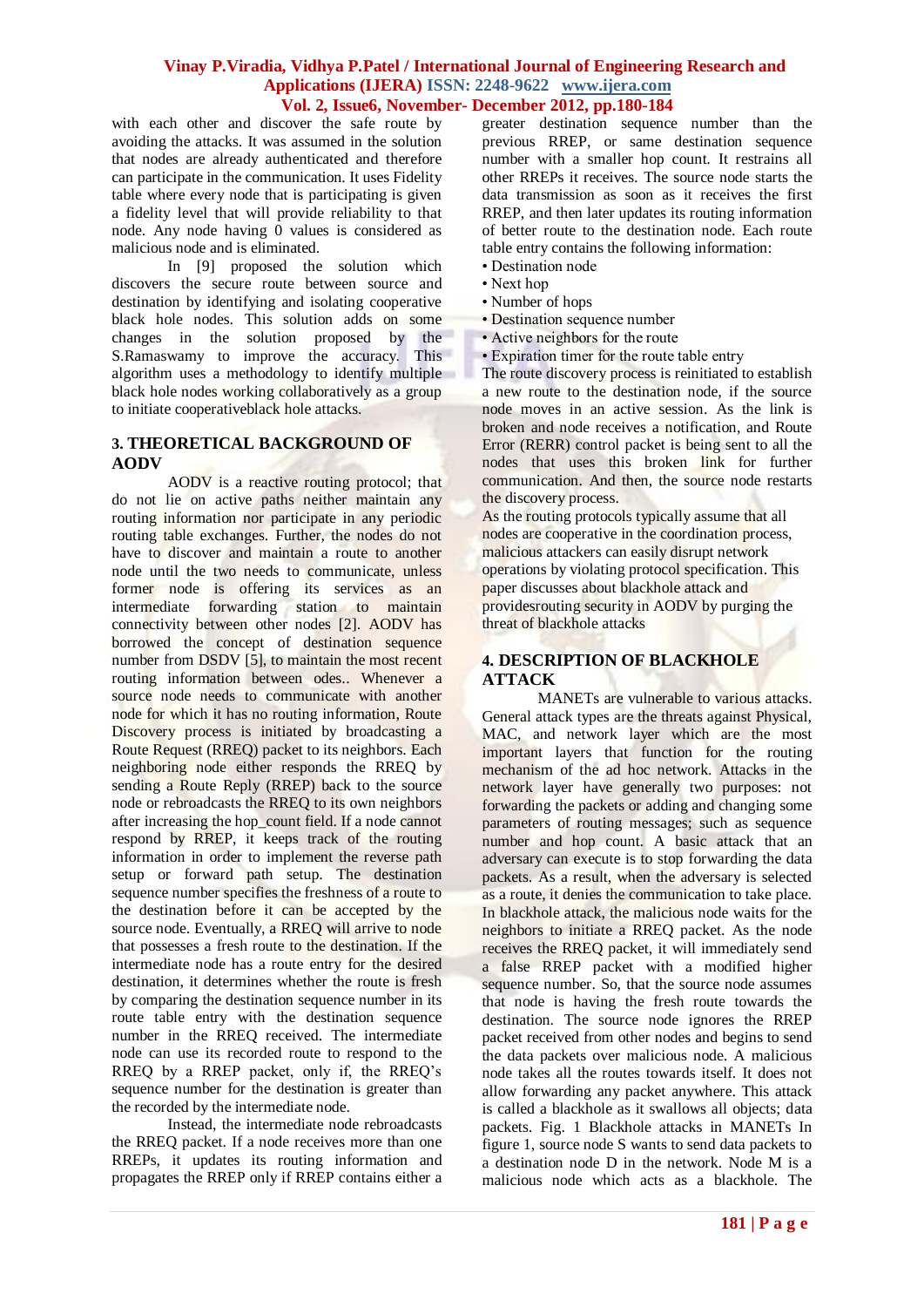with each other and discover the safe route by avoiding the attacks. It was assumed in the solution that nodes are already authenticated and therefore can participate in the communication. It uses Fidelity table where every node that is participating is given a fidelity level that will provide reliability to that node. Any node having 0 values is considered as malicious node and is eliminated.

In [9] proposed the solution which discovers the secure route between source and destination by identifying and isolating cooperative black hole nodes. This solution adds on some changes in the solution proposed by the S.Ramaswamy to improve the accuracy. This algorithm uses a methodology to identify multiple black hole nodes working collaboratively as a group to initiate cooperativeblack hole attacks.

#### **3. THEORETICAL BACKGROUND OF AODV**

AODV is a reactive routing protocol; that do not lie on active paths neither maintain any routing information nor participate in any periodic routing table exchanges. Further, the nodes do not have to discover and maintain a route to another node until the two needs to communicate, unless former node is offering its services as an intermediate forwarding station to maintain connectivity between other nodes [2]. AODV has borrowed the concept of destination sequence number from DSDV [5], to maintain the most recent routing information between odes.. Whenever a source node needs to communicate with another node for which it has no routing information, Route Discovery process is initiated by broadcasting a Route Request (RREQ) packet to its neighbors. Each neighboring node either responds the RREQ by sending a Route Reply (RREP) back to the source node or rebroadcasts the RREQ to its own neighbors after increasing the hop\_count field. If a node cannot respond by RREP, it keeps track of the routing information in order to implement the reverse path setup or forward path setup. The destination sequence number specifies the freshness of a route to the destination before it can be accepted by the source node. Eventually, a RREQ will arrive to node that possesses a fresh route to the destination. If the intermediate node has a route entry for the desired destination, it determines whether the route is fresh by comparing the destination sequence number in its route table entry with the destination sequence number in the RREQ received. The intermediate node can use its recorded route to respond to the RREQ by a RREP packet, only if, the RREQ's sequence number for the destination is greater than the recorded by the intermediate node.

Instead, the intermediate node rebroadcasts the RREQ packet. If a node receives more than one RREPs, it updates its routing information and propagates the RREP only if RREP contains either a greater destination sequence number than the previous RREP, or same destination sequence number with a smaller hop count. It restrains all other RREPs it receives. The source node starts the data transmission as soon as it receives the first RREP, and then later updates its routing information of better route to the destination node. Each route table entry contains the following information:

- Destination node
- Next hop
- Number of hops
- Destination sequence number
- Active neighbors for the route
- Expiration timer for the route table entry

The route discovery process is reinitiated to establish a new route to the destination node, if the source node moves in an active session. As the link is broken and node receives a notification, and Route Error (RERR) control packet is being sent to all the nodes that uses this broken link for further communication. And then, the source node restarts the discovery process.

As the routing protocols typically assume that all nodes are cooperative in the coordination process, malicious attackers can easily disrupt network operations by violating protocol specification. This paper discusses about blackhole attack and provides routing security in AODV by purging the threat of blackhole attacks

## **4. DESCRIPTION OF BLACKHOLE ATTACK**

MANETs are vulnerable to various attacks. General attack types are the threats against Physical, MAC, and network layer which are the most important layers that function for the routing mechanism of the ad hoc network. Attacks in the network layer have generally two purposes: not forwarding the packets or adding and changing some parameters of routing messages; such as sequence number and hop count. A basic attack that an adversary can execute is to stop forwarding the data packets. As a result, when the adversary is selected as a route, it denies the communication to take place. In blackhole attack, the malicious node waits for the neighbors to initiate a RREQ packet. As the node receives the RREQ packet, it will immediately send a false RREP packet with a modified higher sequence number. So, that the source node assumes that node is having the fresh route towards the destination. The source node ignores the RREP packet received from other nodes and begins to send the data packets over malicious node. A malicious node takes all the routes towards itself. It does not allow forwarding any packet anywhere. This attack is called a blackhole as it swallows all objects; data packets. Fig. 1 Blackhole attacks in MANETs In figure 1, source node S wants to send data packets to a destination node D in the network. Node M is a malicious node which acts as a blackhole. The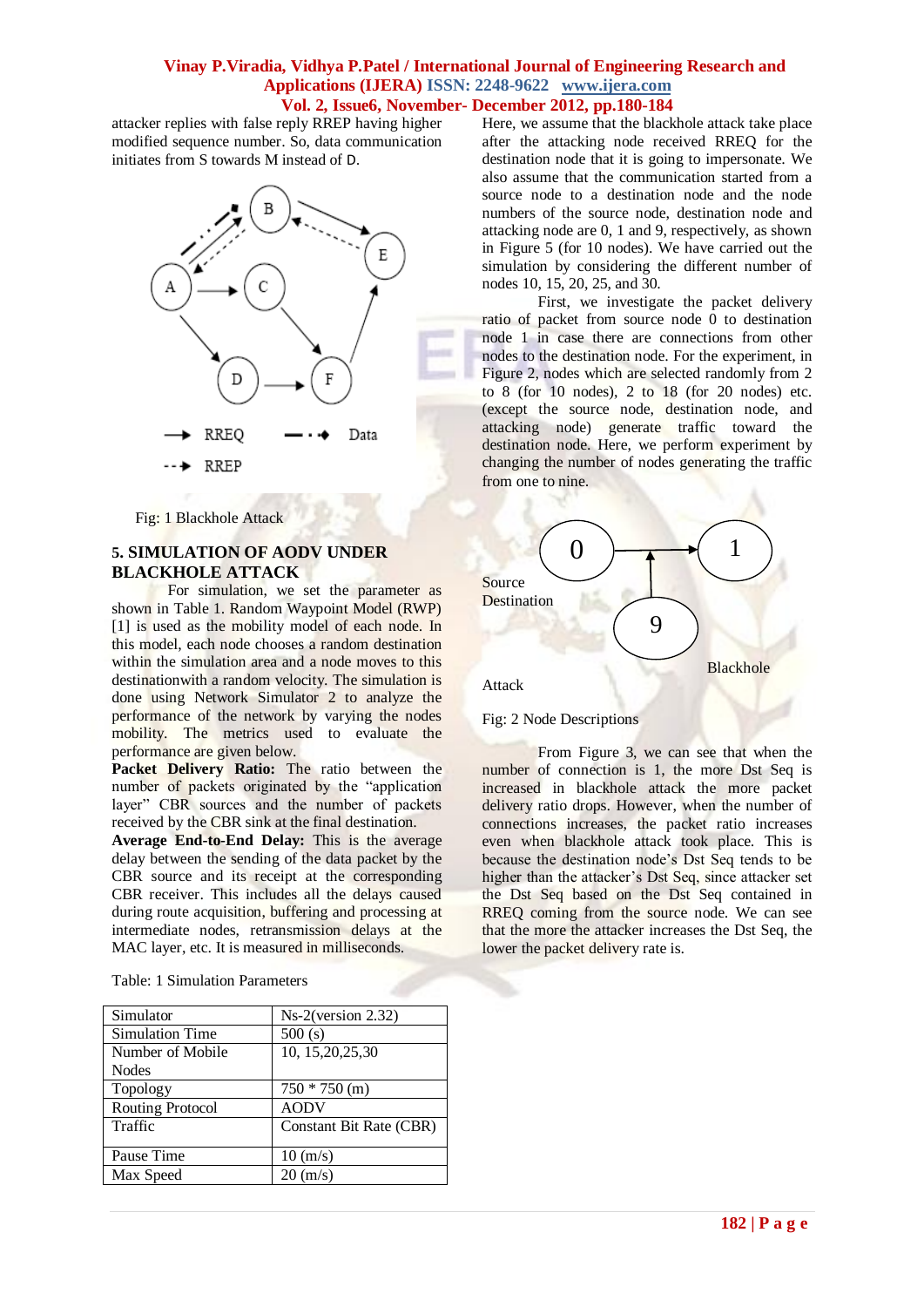attacker replies with false reply RREP having higher modified sequence number. So, data communication initiates from S towards M instead of D.



Fig: 1 Blackhole Attack

## **5. SIMULATION OF AODV UNDER BLACKHOLE ATTACK**

For simulation, we set the parameter as shown in Table 1. Random Waypoint Model (RWP) [1] is used as the mobility model of each node. In this model, each node chooses a random destination within the simulation area and a node moves to this destinationwith a random velocity. The simulation is done using Network Simulator 2 to analyze the performance of the network by varying the nodes mobility. The metrics used to evaluate the performance are given below.

Packet Delivery Ratio: The ratio between the number of packets originated by the "application layer" CBR sources and the number of packets received by the CBR sink at the final destination.

**Average End-to-End Delay:** This is the average delay between the sending of the data packet by the CBR source and its receipt at the corresponding CBR receiver. This includes all the delays caused during route acquisition, buffering and processing at intermediate nodes, retransmission delays at the MAC layer, etc. It is measured in milliseconds.

| Simulator               | $Ns-2$ (version 2.32)          |
|-------------------------|--------------------------------|
| Simulation Time         | 500(s)                         |
| Number of Mobile        | 10, 15, 20, 25, 30             |
| <b>Nodes</b>            |                                |
| Topology                | $750 * 750$ (m)                |
| <b>Routing Protocol</b> | <b>AODV</b>                    |
| Traffic                 | <b>Constant Bit Rate (CBR)</b> |
|                         |                                |
| Pause Time              | $10 \, (m/s)$                  |
| Max Speed               | $20 \, (m/s)$                  |
|                         |                                |

Table: 1 Simulation Parameters

Here, we assume that the blackhole attack take place after the attacking node received RREQ for the destination node that it is going to impersonate. We also assume that the communication started from a source node to a destination node and the node numbers of the source node, destination node and attacking node are 0, 1 and 9, respectively, as shown in Figure 5 (for 10 nodes). We have carried out the simulation by considering the different number of nodes 10, 15, 20, 25, and 30.

First, we investigate the packet delivery ratio of packet from source node 0 to destination node 1 in case there are connections from other nodes to the destination node. For the experiment, in Figure 2, nodes which are selected randomly from 2 to 8 (for 10 nodes), 2 to 18 (for 20 nodes) etc. (except the source node, destination node, and attacking node) generate traffic toward the destination node. Here, we perform experiment by changing the number of nodes generating the traffic from one to nine.



#### Fig: 2 Node Descriptions

From Figure 3, we can see that when the number of connection is 1, the more Dst Seq is increased in blackhole attack the more packet delivery ratio drops. However, when the number of connections increases, the packet ratio increases even when blackhole attack took place. This is because the destination node's Dst Seq tends to be higher than the attacker's Dst Seq, since attacker set the Dst Seq based on the Dst Seq contained in RREQ coming from the source node. We can see that the more the attacker increases the Dst Seq, the lower the packet delivery rate is.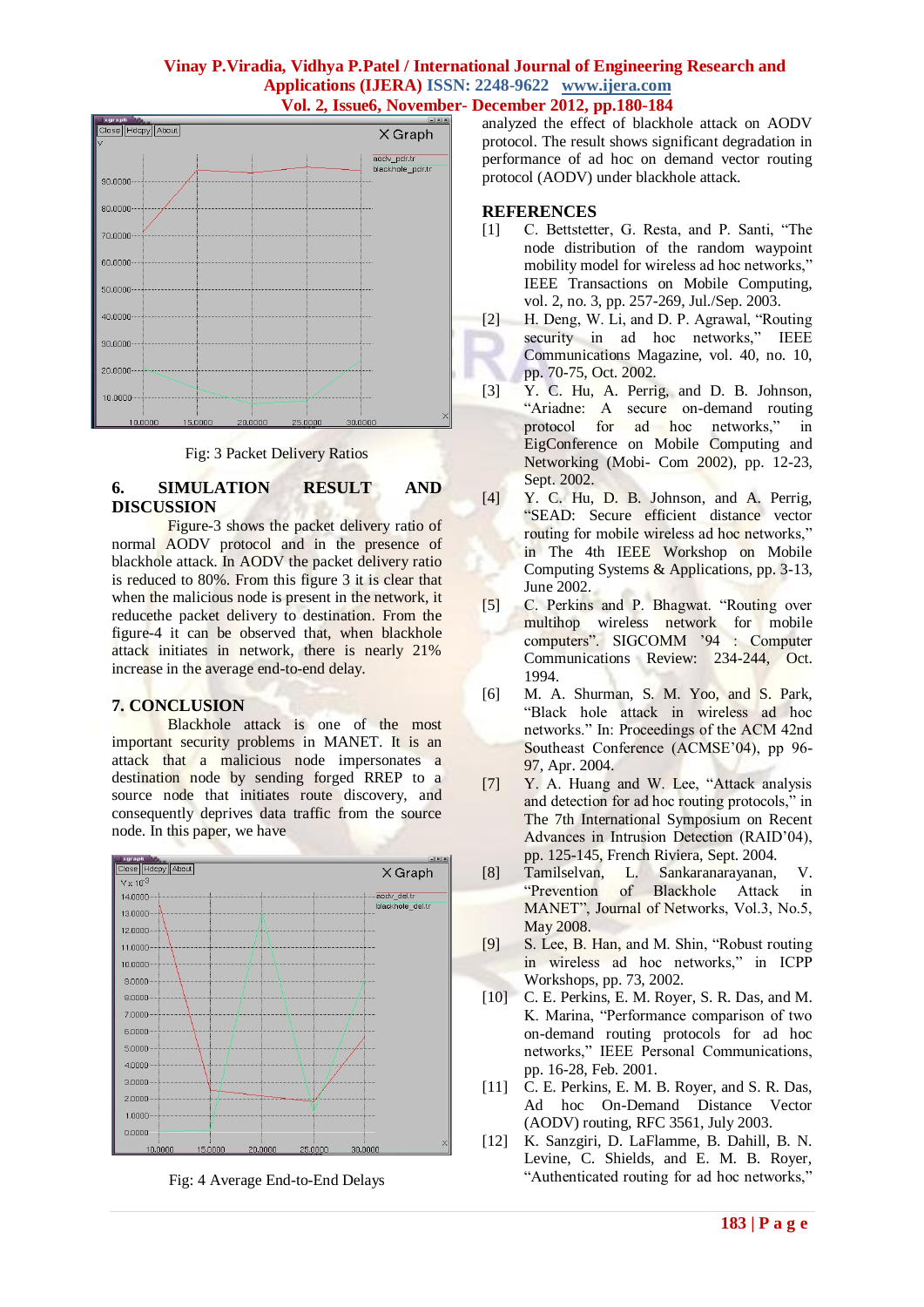

Fig: 3 Packet Delivery Ratios

## **6. SIMULATION RESULT AND DISCUSSION**

Figure-3 shows the packet delivery ratio of normal AODV protocol and in the presence of blackhole attack. In AODV the packet delivery ratio is reduced to 80%. From this figure 3 it is clear that when the malicious node is present in the network, it reducethe packet delivery to destination. From the figure-4 it can be observed that, when blackhole attack initiates in network, there is nearly 21% increase in the average end-to-end delay.

## **7. CONCLUSION**

Blackhole attack is one of the most important security problems in MANET. It is an attack that a malicious node impersonates a destination node by sending forged RREP to a source node that initiates route discovery, and consequently deprives data traffic from the source node. In this paper, we have



Fig: 4 Average End-to-End Delays

analyzed the effect of blackhole attack on AODV protocol. The result shows significant degradation in performance of ad hoc on demand vector routing protocol (AODV) under blackhole attack.

#### **REFERENCES**

- [1] C. Bettstetter, G. Resta, and P. Santi, "The node distribution of the random waypoint mobility model for wireless ad hoc networks," IEEE Transactions on Mobile Computing, vol. 2, no. 3, pp. 257-269, Jul./Sep. 2003.
- [2] H. Deng, W. Li, and D. P. Agrawal, "Routing security in ad hoc networks," IEEE Communications Magazine, vol. 40, no. 10, pp. 70-75, Oct. 2002.
- [3] Y. C. Hu, A. Perrig, and D. B. Johnson, "Ariadne: A secure on-demand routing protocol for ad hoc networks," in EigConference on Mobile Computing and Networking (Mobi- Com 2002), pp. 12-23, Sept. 2002.
- [4] Y. C. Hu, D. B. Johnson, and A. Perrig, "SEAD: Secure efficient distance vector routing for mobile wireless ad hoc networks," in The 4th IEEE Workshop on Mobile Computing Systems & Applications, pp. 3-13, June 2002.
- [5] C. Perkins and P. Bhagwat. "Routing over multihop wireless network for mobile computers". SIGCOMM '94 : Computer Communications Review: 234-244, Oct. 1994.
- [6] M. A. Shurman, S. M. Yoo, and S. Park, "Black hole attack in wireless ad hoc networks." In: Proceedings of the ACM 42nd Southeast Conference (ACMSE'04), pp 96- 97, Apr. 2004.
- [7] Y. A. Huang and W. Lee, "Attack analysis and detection for ad hoc routing protocols," in The 7th International Symposium on Recent Advances in Intrusion Detection (RAID'04), pp. 125-145, French Riviera, Sept. 2004.
- [8] Tamilselvan, L. Sankaranarayanan, V. "Prevention of Blackhole Attack in MANET", Journal of Networks, Vol.3, No.5, May 2008.
- [9] S. Lee, B. Han, and M. Shin, "Robust routing in wireless ad hoc networks," in ICPP Workshops, pp. 73, 2002.
- [10] C. E. Perkins, E. M. Royer, S. R. Das, and M. K. Marina, "Performance comparison of two on-demand routing protocols for ad hoc networks," IEEE Personal Communications, pp. 16-28, Feb. 2001.
- [11] C. E. Perkins, E. M. B. Royer, and S. R. Das, Ad hoc On-Demand Distance Vector (AODV) routing, RFC 3561, July 2003.
- [12] K. Sanzgiri, D. LaFlamme, B. Dahill, B. N. Levine, C. Shields, and E. M. B. Royer, "Authenticated routing for ad hoc networks,"